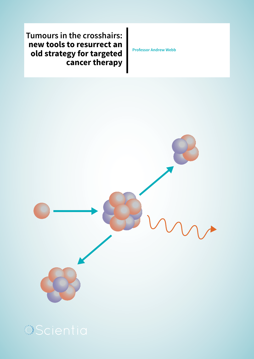**Tumours in the crosshairs: new tools to resurrect an old strategy for targeted cancer therapy**

**Professor Andrew Webb**

Scientia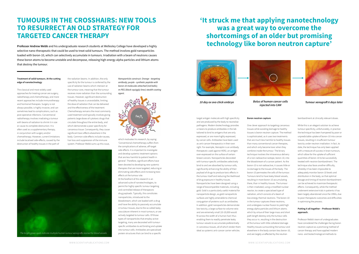#### **Treatment of solid tumours. At the cutting edge of nanotechnology**

The classical and most widely used approaches for treating cancer are surgery, radiotherapy and chemotherapy, and more recent approaches include immunotherapy and hormonal therapies. Surgery is not always possible, is highly invasive, and can sometimes lead to complications, such as post-operative infections. Conventional radiotherapy involves irradiating a tumour with beams of radiation to shrink it in size or cause its complete destruction. It is often used as a supplementary therapy, in conjunction with surgery and/or chemotherapy. However, current limitations include localised side-effects, caused by the destruction of healthy tissues in the path of

the radiation beams. In addition, the only

specificity for the tumour is conferred by the use of radiation beams which intersect at the tumour core, meaning that the tumour receives more radiation than the surrounding tissues. However, significant destruction of healthy tissues is unavoidable, limiting the dose of radiation that can be delivered and the effectiveness of the treatment. Chemotherapy remains the most commonly used treatment and typically involves giving patients large doses of cytotoxic drugs that circulate throughout the entire body, and which demonstrate a poor specificity for cancerous tissue. Consequently, they cause significant toxic effects elsewhere in the body. Common side effects include nausea, hair loss and suppression of the immune system. Professor Webb sums up this issue,

The bright green spots indicate multiple human tumour xenografts stained for blood vessels. The protein structures that can bind to a specific extension of the protein structures that can bind to a specific extension of th

## **TUMOURS IN THE CROSSHAIRS: NEW TOOLS TO RESURRECT AN OLD STRATEGY FOR TARGETED CANCER THERAPY**

**Professor Andrew Webb** and his undergraduate research students at Wellesley College have developed a highly selective nano-therapeutic that could be used to treat solid tumours. The method involves gold nanoparticles loaded with boron-10, which can selectively accumulate in tumours. Irradiation with a beam of neutrons causes these boron atoms to become unstable and decompose, releasing high-energy alpha particles and lithium atoms that destroy the tumour.

> which motivates his research, by saying: 'Conventional chemotherapy suffers from the complications of adverse, off-target side effects. It is important to investigate and develop systemic treatment options that are less harmful to patient health in general'. Therefore, significant efforts have been devoted to developing new systemic therapies that are more targeted, reducing or eliminating side effects and increasing toxic effects at the tumour site.

At the forefront of this research is an advanced suite of nanotechnologies, to permit for highly specific tumour targeting and controlled release of therapeutic drug payloads. Typically, this constitutes nanoparticles, introduced to the bloodstream, which are loaded with a drug and have the ability to passively accumulate in tumour tissues, due to the so called leaky vasculature inherent in most tumours, or are actively targeted to tumour cells. Of those types of nanoparticles that employ active targeting, many are decorated with tumourspecific antibodies to aid binding and uptake into tumour cells. Antibodies are specialised protein structures that can bind to a specific

target antigen molecule with high specificity and are produced by the body to neutralise pathogens. Modern biotechnology provides a means to produce antibodies in the lab tailored to bind to antigens that are only expressed, or are more highly expressed, by cancer cells. Antibodies have been used as anti-cancer therapeutics in their own right. For example, Herceptin is an antibody therapeutic used against HER2, an antigen over-expressed on the surface of certain breast cancers. Nanoparticles decorated with tumour-specific antibodies selectively bind to and are absorbed by tumour cells, significantly enhancing the ability of their payload of drugs to produce toxic effects in the tumour itself and reducing the likelihood of drug exposure in healthy tissues. Nanoparticles have been designed using a range of biocompatible materials, including

gold. Gold is a particularly useful material for nanoparticle design, as gold nanoparticle surfaces are highly amenable to chemical conjugation of proteins such as antibodies. In addition, gold nanoparticles demonstrate low toxicity, a large surface-to-volume ratio and are extremely small (10-20,000 would fit across the width of a human hair) thus enabling them to readily penetrate leaky tumour vessels to accumulate preferentially in cancerous tissues, all of which render them ideal as systemic anti-cancer carrier vehicles.

## **'It struck me that applying nanotechnology was a great way to overcome the shortcomings of an older but promising technology like boron neutron capture'**







*10 day ex ovo chick embryo Bolus of human cancer cells Tumour xenograft 6 days later*



#### **Boron neutron capture**

One clever approach to targeting cancerous tissues while avoiding damage to healthy tissues is boron neutron capture. The method is sophisticated, as it uses two treatments that are much less harmful to healthy tissues than many conventional cancer therapies, and which only become toxic when they combine inside the tumour. The binary technique involves the intravenous delivery of a non-radioactive isotope, boron-10, into the bloodstream of a cancer patient. As the boron-10 is not radioactive, it causes little or no damage to the tissues of the body. The boron-10 permeates the cells of the tumour. Tumours tend to have leaky blood vessels, resulting in more boron-10 accumulating there, than in healthy tissues. The tumour is then irradiated, using a modified nuclear reactor, to create a specialised type of radiation, which consists of a beam of low-energy thermal neutrons. The boron-10 in the tumour captures these neutrons, and undergoes nuclear fission to yield high energy alpha particles and lithium atoms. which by virtue of their large mass and short path length destroy only the tumour cells they occur in, resulting in the destruction of the tumour with little collateral damage. Healthy tissues surrounding the tumour and elsewhere in the body contain less boron-10, and are largely unaffected by the neutron

bombardment at clinically relevant doses.

While this is an elegant solution to achieve tumour specificity, unfortunately, in practice the technique has been hampered by poor or unpredictable uptake of boron-10 into cancer tissues, resulting in insufficient tumour toxicity under neutron irradiation. In fact, to date, the technique has only been applied with a measure of success in brain tumours, which allow for the uptake of sufficient quantities of boron-10 to be successfully treated with neutron bombardment. The technique also faces another difficulty, whereby it has been impossible to adequately monitor boron-10 levels and distribution in the body, so that optimal dosage and timing of neutron bombardment can be achieved to maximize therapeutic effects. Consequently, while the method underwent extensive trials in patients it has been largely abandoned since the 1990s, due to poor therapeutic outcomes and difficulties in optimising the process.

#### **Putting it all together – Professor Webb's approach.**

Professor Webb's team of undergraduates have considered the challenges facing boron neutron capture as a promising method of cancer therapy and have applied modern

*Nanoparticle construct. Orange - targeting antibody; purple - synthetic peptide with boron 10 molecules attached (red balls); m-PEG (black squiggly lines) stealth coating agent.*